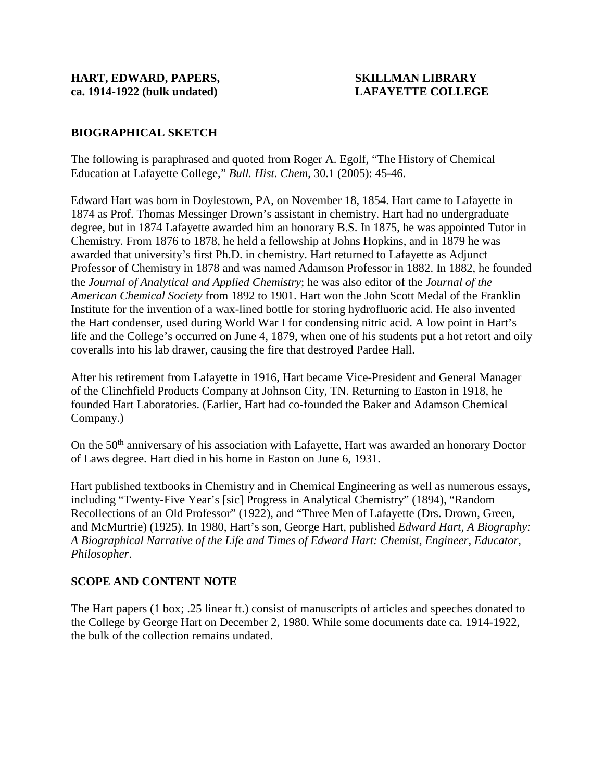# **BIOGRAPHICAL SKETCH**

The following is paraphrased and quoted from Roger A. Egolf, "The History of Chemical Education at Lafayette College," *Bull. Hist. Chem*, 30.1 (2005): 45-46.

Edward Hart was born in Doylestown, PA, on November 18, 1854. Hart came to Lafayette in 1874 as Prof. Thomas Messinger Drown's assistant in chemistry. Hart had no undergraduate degree, but in 1874 Lafayette awarded him an honorary B.S. In 1875, he was appointed Tutor in Chemistry. From 1876 to 1878, he held a fellowship at Johns Hopkins, and in 1879 he was awarded that university's first Ph.D. in chemistry. Hart returned to Lafayette as Adjunct Professor of Chemistry in 1878 and was named Adamson Professor in 1882. In 1882, he founded the *Journal of Analytical and Applied Chemistry*; he was also editor of the *Journal of the American Chemical Society* from 1892 to 1901. Hart won the John Scott Medal of the Franklin Institute for the invention of a wax-lined bottle for storing hydrofluoric acid. He also invented the Hart condenser, used during World War I for condensing nitric acid. A low point in Hart's life and the College's occurred on June 4, 1879, when one of his students put a hot retort and oily coveralls into his lab drawer, causing the fire that destroyed Pardee Hall.

After his retirement from Lafayette in 1916, Hart became Vice-President and General Manager of the Clinchfield Products Company at Johnson City, TN. Returning to Easton in 1918, he founded Hart Laboratories. (Earlier, Hart had co-founded the Baker and Adamson Chemical Company.)

On the 50<sup>th</sup> anniversary of his association with Lafayette, Hart was awarded an honorary Doctor of Laws degree. Hart died in his home in Easton on June 6, 1931.

Hart published textbooks in Chemistry and in Chemical Engineering as well as numerous essays, including "Twenty-Five Year's [sic] Progress in Analytical Chemistry" (1894), "Random Recollections of an Old Professor" (1922), and "Three Men of Lafayette (Drs. Drown, Green, and McMurtrie) (1925). In 1980, Hart's son, George Hart, published *Edward Hart, A Biography: A Biographical Narrative of the Life and Times of Edward Hart: Chemist, Engineer, Educator, Philosopher*.

### **SCOPE AND CONTENT NOTE**

The Hart papers (1 box; .25 linear ft.) consist of manuscripts of articles and speeches donated to the College by George Hart on December 2, 1980. While some documents date ca. 1914-1922, the bulk of the collection remains undated.